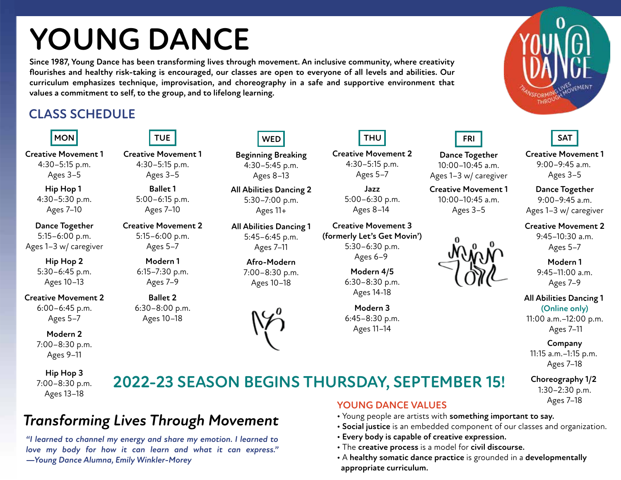# **YOUNG DANCE**

**Since 1987, Young Dance has been transforming lives through movement. An inclusive community, where creativity flourishes and healthy risk-taking is encouraged, our classes are open to everyone of all levels and abilities. Our curriculum emphasizes technique, improvisation, and choreography in a safe and supportive environment that values a commitment to self, to the group, and to lifelong learning.**

### **CLASS SCHEDULE**



**Creative Movement 1** 4:30–5:15 p.m. Ages 3–5

> **Hip Hop 1**  4:30–5:30 p.m. Ages 7–10

**Dance Together** 5:15–6:00 p.m. Ages 1–3 w/ caregiver

> **Hip Hop 2** 5:30–6:45 p.m. Ages 10–13

**Creative Movement 2** 6:00–6:45 p.m. Ages 5–7

> **Modern 2** 7:00–8:30 p.m. Ages 9–11

**Hip Hop 3** 7:00–8:30 p.m. Ages 13–18



**Creative Movement 1** 4:30–5:15 p.m. Ages 3–5

> **Ballet 1** 5:00–6:15 p.m. Ages 7–10

**Creative Movement 2** 5:15–6:00 p.m. Ages 5–7

> **Modern 1** 6:15–7:30 p.m. Ages 7–9

**Ballet 2** 6:30–8:00 p.m. Ages 10–18

**Afro-Modern** 7:00–8:30 p.m. Ages 10–18

**All Abilities Dancing 1** 5:45–6:45 p.m. Ages 7–11

**Beginning Breaking** 4:30–5:45 p.m. Ages 8–13

**WED**

**All Abilities Dancing 2** 5:30–7:00 p.m. Ages 11+

**2022-23 SEASON BEGINS THURSDAY, SEPTEMBER 15!**



**Creative Movement 2** 4:30–5:15 p.m. Ages 5–7

> **Jazz** 5:00–6:30 p.m. Ages 8–14

**Creative Movement 3 (formerly Let's Get Movin')** 5:30–6:30 p.m. Ages 6–9

> **Modern 4/5** 6:30–8:30 p.m. Ages 14-18

**Modern 3** 6:45–8:30 p.m. Ages 11–14



Ages 1–3 w/ caregiver **Creative Movement 1** 10:00–10:45 a.m. Ages 3–5







**Creative Movement 1** 9:00–9:45 a.m. Ages 3–5

**Dance Together** 9:00–9:45 a.m. Ages 1–3 w/ caregiver

**Creative Movement 2** 9:45–10:30 a.m. Ages 5–7

> **Modern 1** 9:45–11:00 a.m. Ages 7–9

**All Abilities Dancing 1 (Online only)**

11:00 a.m.–12:00 p.m. Ages 7–11

**Company** 11:15 a.m.–1:15 p.m. Ages 7–18

**Choreography 1/2**  1:30–2:30 p.m. Ages 7–18

## *Transforming Lives Through Movement*

*"I learned to channel my energy and share my emotion. I learned to love my body for how it can learn and what it can express." —Young Dance Alumna, Emily Winkler-Morey*

#### **YOUNG DANCE VALUES**

- Young people are artists with **something important to say.**
- **Social justice** is an embedded component of our classes and organization.
- **Every body is capable of creative expression.**
- The **creative process** is a model for **civil discourse.**
- A **healthy somatic dance practice** is grounded in a **developmentally appropriate curriculum.**